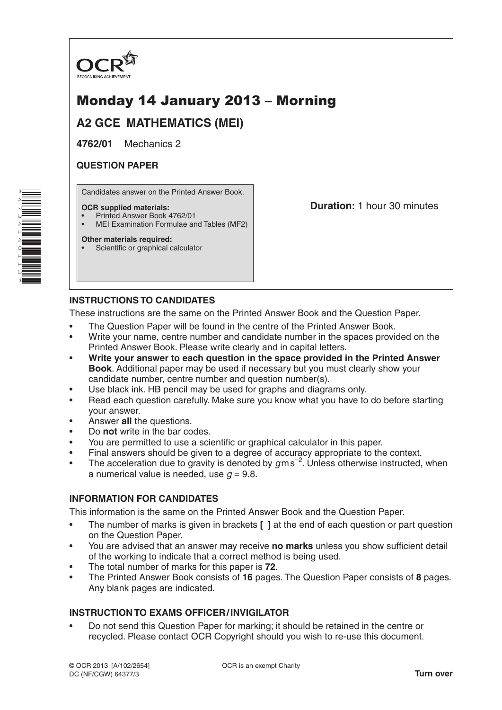

# Monday 14 January 2013 – Morning

**A2 GCE MATHEMATICS (MEI)**

**4762/01** Mechanics 2

## **QUESTION PAPER**

\*4 $\overline{\phantom{0}}$ W 414011ω \* Candidates answer on the Printed Answer Book.

#### **OCR supplied materials:**

- Printed Answer Book 4762/01
- MEI Examination Formulae and Tables (MF2)

#### **Other materials required:**

Scientific or graphical calculator

**Duration:** 1 hour 30 minutes

# **INSTRUCTIONS TO CANDIDATES**

These instructions are the same on the Printed Answer Book and the Question Paper.

- The Question Paper will be found in the centre of the Printed Answer Book.
- Write your name, centre number and candidate number in the spaces provided on the Printed Answer Book. Please write clearly and in capital letters.
- **Write your answer to each question in the space provided in the Printed Answer Book**. Additional paper may be used if necessary but you must clearly show your candidate number, centre number and question number(s).
- Use black ink. HB pencil may be used for graphs and diagrams only.
- Read each question carefully. Make sure you know what you have to do before starting your answer.
- Answer **all** the questions.
- Do **not** write in the bar codes.
- You are permitted to use a scientific or graphical calculator in this paper.
- Final answers should be given to a degree of accuracy appropriate to the context.
- The acceleration due to gravity is denoted by  $g$ ms<sup>-2</sup>. Unless otherwise instructed, when a numerical value is needed, use  $q = 9.8$ .

### **INFORMATION FOR CANDIDATES**

This information is the same on the Printed Answer Book and the Question Paper.

- The number of marks is given in brackets **[ ]** at the end of each question or part question on the Question Paper.
- You are advised that an answer may receive **no marks** unless you show sufficient detail of the working to indicate that a correct method is being used.
- The total number of marks for this paper is **72**.
- The Printed Answer Book consists of **16** pages. The Question Paper consists of **8** pages. Any blank pages are indicated.

### **INSTRUCTION TO EXAMS OFFICER/INVIGILATOR**

• Do not send this Question Paper for marking; it should be retained in the centre or recycled. Please contact OCR Copyright should you wish to re-use this document.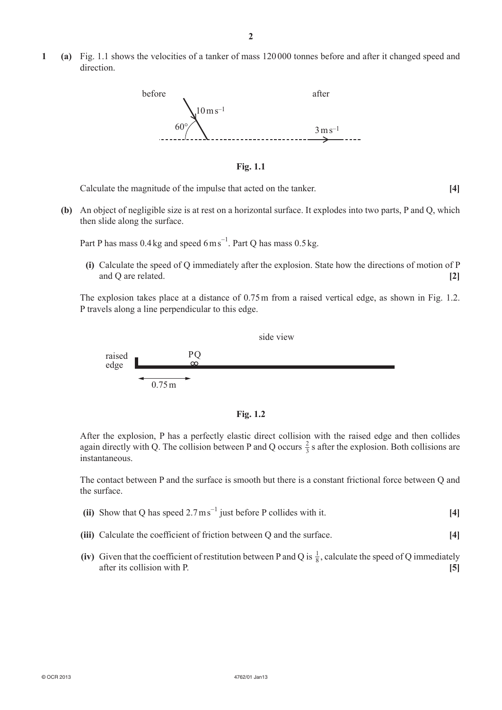**1 (a)**  Fig. 1.1 shows the velocities of a tanker of mass 120 000 tonnes before and after it changed speed and direction.





Calculate the magnitude of the impulse that acted on the tanker. **[4]** 

**(b)** An object of negligible size is at rest on a horizontal surface. It explodes into two parts, P and Q, which then slide along the surface.

Part P has mass  $0.4 \text{ kg}$  and speed  $6 \text{ m s}^{-1}$ . Part Q has mass  $0.5 \text{ kg}$ .

**(i)** Calculate the speed of Q immediately after the explosion. State how the directions of motion of P and Q are related. **[2]**

The explosion takes place at a distance of 0.75m from a raised vertical edge, as shown in Fig. 1.2. P travels along a line perpendicular to this edge.





After the explosion, P has a perfectly elastic direct collision with the raised edge and then collides again directly with Q. The collision between P and Q occurs  $\frac{2}{3}$  s after the explosion. Both collisions are instantaneous.

The contact between P and the surface is smooth but there is a constant frictional force between O and the surface.

- **(ii)** Show that Q has speed  $2.7 \text{ m s}^{-1}$  just before P collides with it. **[4]** 
	- *(iii)* Calculate the coefficient of friction between Q and the surface. [4]
- (iv) Given that the coefficient of restitution between P and Q is  $\frac{1}{8}$ , calculate the speed of Q immediately after its collision with P. **[5]**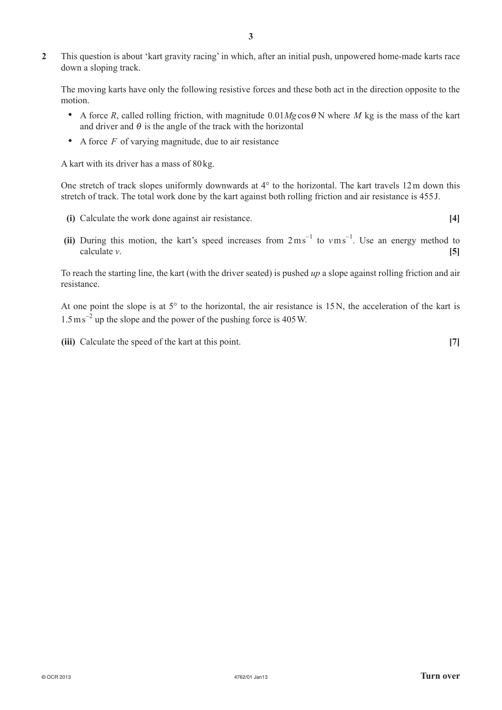**2**  This question is about 'kart gravity racing' in which, after an initial push, unpowered home-made karts race down a sloping track.

The moving karts have only the following resistive forces and these both act in the direction opposite to the motion.

- A force *R*, called rolling friction, with magnitude  $0.01Mg\cos\theta N$  where M kg is the mass of the kart and driver and  $\theta$  is the angle of the track with the horizontal
- A force *F* of varying magnitude, due to air resistance

A kart with its driver has a mass of 80kg.

One stretch of track slopes uniformly downwards at 4° to the horizontal. The kart travels 12m down this stretch of track. The total work done by the kart against both rolling friction and air resistance is 455J.

- **(i)** Calculate the work done against air resistance. **[4] [4]**
- (ii) During this motion, the kart's speed increases from  $2 \text{ m s}^{-1}$  to  $v \text{ m s}^{-1}$ . Use an energy method to calculate *v*. **[5]**

To reach the starting line, the kart (with the driver seated) is pushed *up* a slope against rolling friction and air resistance.

At one point the slope is at 5° to the horizontal, the air resistance is 15N, the acceleration of the kart is  $1.5 \text{ m s}^{-2}$  up the slope and the power of the pushing force is 405 W.

*(iii)* Calculate the speed of the kart at this point. **[7]**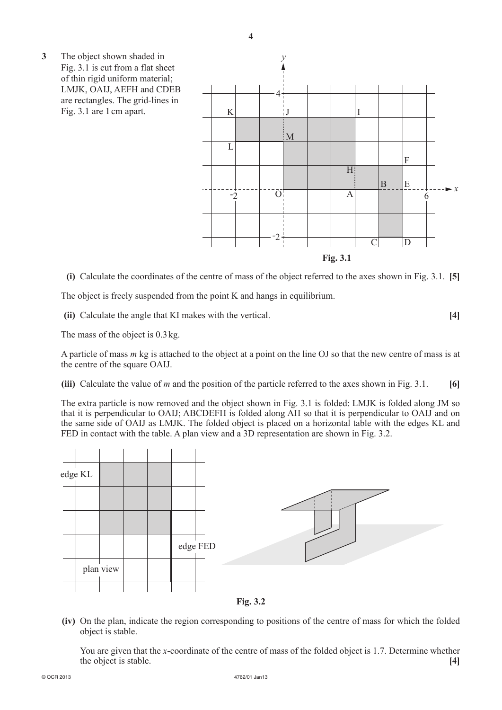**3** The object shown shaded in Fig. 3.1 is cut from a flat sheet of thin rigid uniform material; LMJK, OAIJ, AEFH and CDEB are rectangles. The grid-lines in Fig. 3.1 are 1cm apart.



 **(i)**  Calculate the coordinates of the centre of mass of the object referred to the axes shown in Fig. 3.1. **[5]**

The object is freely suspended from the point K and hangs in equilibrium.

**(ii)** Calculate the angle that KI makes with the vertical. **[4]** 

The mass of the object is 0.3 kg.

A particle of mass *m* kg is attached to the object at a point on the line OJ so that the new centre of mass is at the centre of the square OAIJ.

**(iii)** Calculate the value of *m* and the position of the particle referred to the axes shown in Fig. 3.1. **[6]** 

The extra particle is now removed and the object shown in Fig. 3.1 is folded: LMJK is folded along JM so that it is perpendicular to OAIJ; ABCDEFH is folded along AH so that it is perpendicular to OAIJ and on the same side of OAIJ as LMJK. The folded object is placed on a horizontal table with the edges KL and FED in contact with the table. A plan view and a 3D representation are shown in Fig. 3.2.



**Fig. 3.2**

**(iv)** On the plan, indicate the region corresponding to positions of the centre of mass for which the folded object is stable.

You are given that the *x*-coordinate of the centre of mass of the folded object is 1.7. Determine whether the object is stable. **[4]**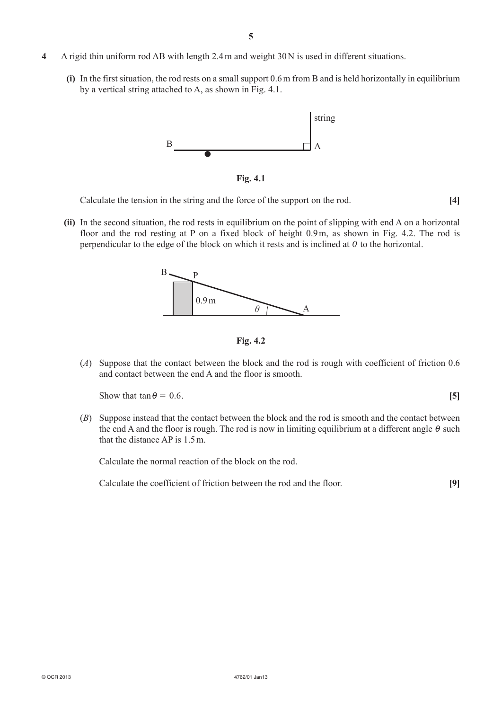- **4**  A rigid thin uniform rod AB with length 2.4m and weight 30N is used in different situations.
	- **(i)** In the first situation, the rod rests on a small support 0.6m from B and is held horizontally in equilibrium by a vertical string attached to A, as shown in Fig. 4.1.





Calculate the tension in the string and the force of the support on the rod. **[4]** 

**(ii)** In the second situation, the rod rests in equilibrium on the point of slipping with end A on a horizontal floor and the rod resting at P on a fixed block of height 0.9m, as shown in Fig. 4.2. The rod is perpendicular to the edge of the block on which it rests and is inclined at  $\theta$  to the horizontal.



**Fig. 4.2**

(*A*) Suppose that the contact between the block and the rod is rough with coefficient of friction 0.6 and contact between the end A and the floor is smooth.

Show that  $\tan \theta = 0.6$ . [5]

 (*B*) Suppose instead that the contact between the block and the rod is smooth and the contact between the end A and the floor is rough. The rod is now in limiting equilibrium at a different angle  $\theta$  such that the distance AP is 1.5m.

Calculate the normal reaction of the block on the rod.

Calculate the coefficient of friction between the rod and the floor. **[9]**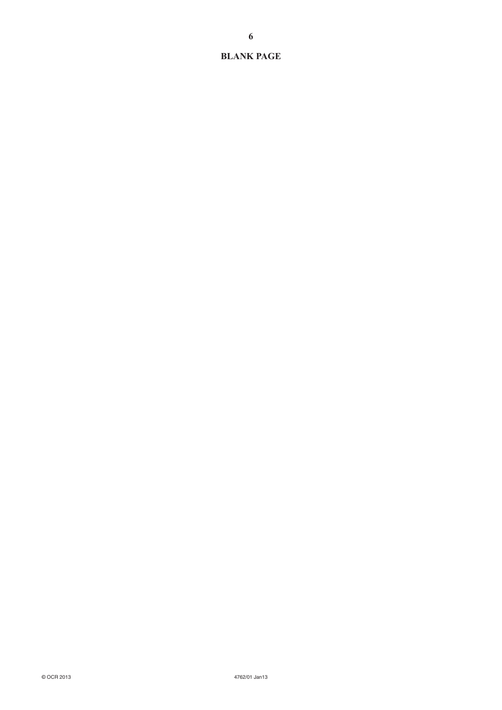#### **BLANK PAGE**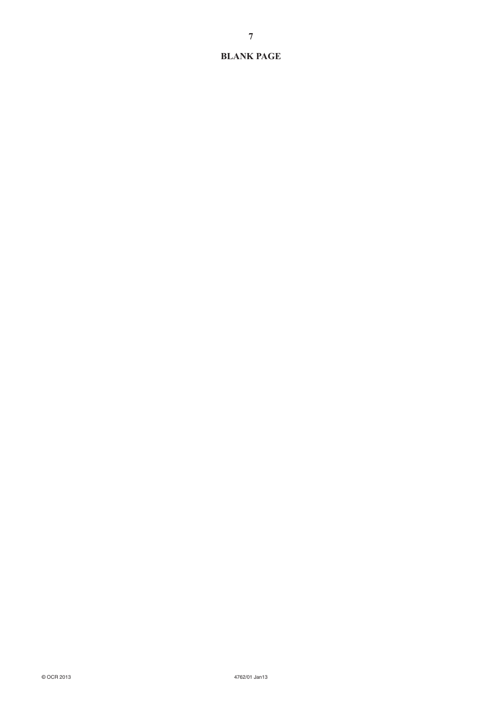#### **BLANK PAGE**